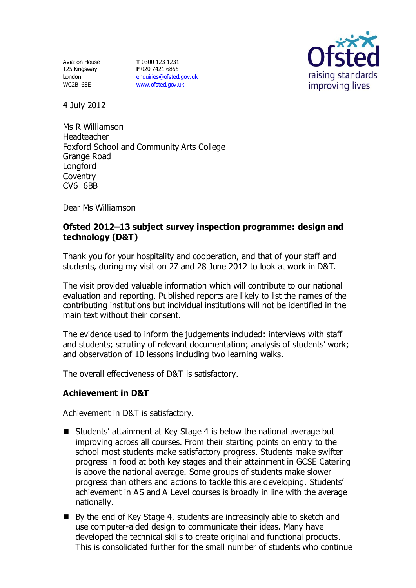Aviation House 125 Kingsway London WC2B 6SE

**T** 0300 123 1231 **F** 020 7421 6855 [enquiries@ofsted.gov.uk](mailto:enquiries@ofsted.gov.uk) [www.ofsted.gov.uk](http://www.ofsted.gov.uk/)



4 July 2012

Ms R Williamson Headteacher Foxford School and Community Arts College Grange Road **Longford Coventry** CV6 6BB

Dear Ms Williamson

## **Ofsted 2012–13 subject survey inspection programme: design and technology (D&T)**

Thank you for your hospitality and cooperation, and that of your staff and students, during my visit on 27 and 28 June 2012 to look at work in D&T.

The visit provided valuable information which will contribute to our national evaluation and reporting. Published reports are likely to list the names of the contributing institutions but individual institutions will not be identified in the main text without their consent.

The evidence used to inform the judgements included: interviews with staff and students; scrutiny of relevant documentation; analysis of students' work; and observation of 10 lessons including two learning walks.

The overall effectiveness of D&T is satisfactory.

## **Achievement in D&T**

Achievement in D&T is satisfactory.

- Students' attainment at Key Stage 4 is below the national average but improving across all courses. From their starting points on entry to the school most students make satisfactory progress. Students make swifter progress in food at both key stages and their attainment in GCSE Catering is above the national average. Some groups of students make slower progress than others and actions to tackle this are developing. Students' achievement in AS and A Level courses is broadly in line with the average nationally.
- By the end of Key Stage 4, students are increasingly able to sketch and use computer-aided design to communicate their ideas. Many have developed the technical skills to create original and functional products. This is consolidated further for the small number of students who continue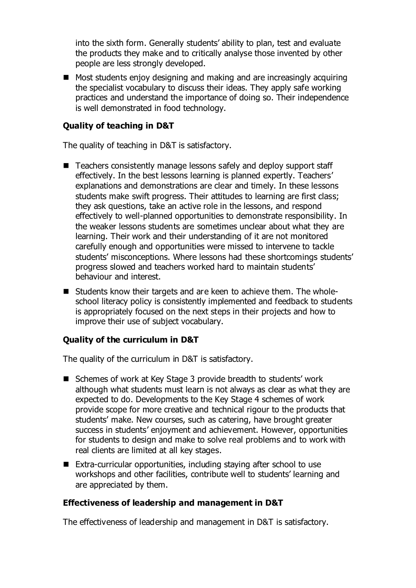into the sixth form. Generally students' ability to plan, test and evaluate the products they make and to critically analyse those invented by other people are less strongly developed.

 $\blacksquare$  Most students enjoy designing and making and are increasingly acquiring the specialist vocabulary to discuss their ideas. They apply safe working practices and understand the importance of doing so. Their independence is well demonstrated in food technology.

# **Quality of teaching in D&T**

The quality of teaching in D&T is satisfactory.

- Teachers consistently manage lessons safely and deploy support staff effectively. In the best lessons learning is planned expertly. Teachers' explanations and demonstrations are clear and timely. In these lessons students make swift progress. Their attitudes to learning are first class; they ask questions, take an active role in the lessons, and respond effectively to well-planned opportunities to demonstrate responsibility. In the weaker lessons students are sometimes unclear about what they are learning. Their work and their understanding of it are not monitored carefully enough and opportunities were missed to intervene to tackle students' misconceptions. Where lessons had these shortcomings students' progress slowed and teachers worked hard to maintain students' behaviour and interest.
- Students know their targets and are keen to achieve them. The wholeschool literacy policy is consistently implemented and feedback to students is appropriately focused on the next steps in their projects and how to improve their use of subject vocabulary.

## **Quality of the curriculum in D&T**

The quality of the curriculum in D&T is satisfactory.

- Schemes of work at Key Stage 3 provide breadth to students' work although what students must learn is not always as clear as what they are expected to do. Developments to the Key Stage 4 schemes of work provide scope for more creative and technical rigour to the products that students' make. New courses, such as catering, have brought greater success in students' enjoyment and achievement. However, opportunities for students to design and make to solve real problems and to work with real clients are limited at all key stages.
- Extra-curricular opportunities, including staying after school to use workshops and other facilities, contribute well to students' learning and are appreciated by them.

## **Effectiveness of leadership and management in D&T**

The effectiveness of leadership and management in D&T is satisfactory.